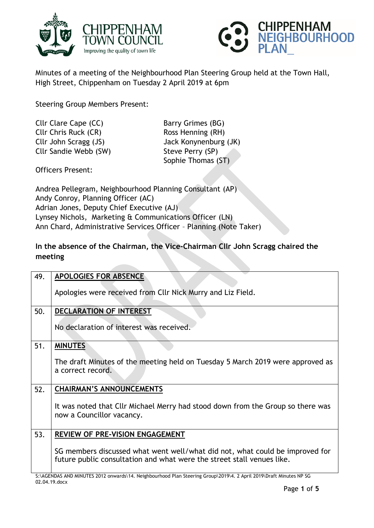



Minutes of a meeting of the Neighbourhood Plan Steering Group held at the Town Hall, High Street, Chippenham on Tuesday 2 April 2019 at 6pm

Steering Group Members Present:

Cllr Clare Cape (CC) Barry Grimes (BG) Cllr Chris Ruck (CR) Ross Henning (RH) Cllr John Scragg (JS) Jack Konynenburg (JK) Cllr Sandie Webb (SW) Steve Perry (SP)

Sophie Thomas (ST)

Officers Present:

Andrea Pellegram, Neighbourhood Planning Consultant (AP) Andy Conroy, Planning Officer (AC) Adrian Jones, Deputy Chief Executive (AJ) Lynsey Nichols, Marketing & Communications Officer (LN) Ann Chard, Administrative Services Officer – Planning (Note Taker)

**In the absence of the Chairman, the Vice-Chairman Cllr John Scragg chaired the meeting**

| 49. | <b>APOLOGIES FOR ABSENCE</b>                                                                                                                                                                                                                                                                                               |
|-----|----------------------------------------------------------------------------------------------------------------------------------------------------------------------------------------------------------------------------------------------------------------------------------------------------------------------------|
|     | Apologies were received from Cllr Nick Murry and Liz Field.                                                                                                                                                                                                                                                                |
| 50. | <b>DECLARATION OF INTEREST</b>                                                                                                                                                                                                                                                                                             |
|     | No declaration of interest was received.                                                                                                                                                                                                                                                                                   |
| 51. | <b>MINUTES</b>                                                                                                                                                                                                                                                                                                             |
|     | The draft Minutes of the meeting held on Tuesday 5 March 2019 were approved as<br>a correct record.                                                                                                                                                                                                                        |
| 52. | <b>CHAIRMAN'S ANNOUNCEMENTS</b>                                                                                                                                                                                                                                                                                            |
|     | It was noted that Cllr Michael Merry had stood down from the Group so there was<br>now a Councillor vacancy.                                                                                                                                                                                                               |
| 53. | REVIEW OF PRE-VISION ENGAGEMENT                                                                                                                                                                                                                                                                                            |
|     | SG members discussed what went well/what did not, what could be improved for<br>future public consultation and what were the street stall venues like.<br>$C_{1}$ (CENDIC (ND HINIEFEC 3043 $\ldots$ and $\mathcal{A}$ ) (Networks and $\mathcal{A}$ ) Dec. Contract Contract 304014 (3.4 and 30401 Dec. G. White is ND CC |

S:\AGENDAS AND MINUTES 2012 onwards\14. Neighbourhood Plan Steering Group\2019\4. 2 April 2019\Draft Minutes NP SG 02.04.19.docx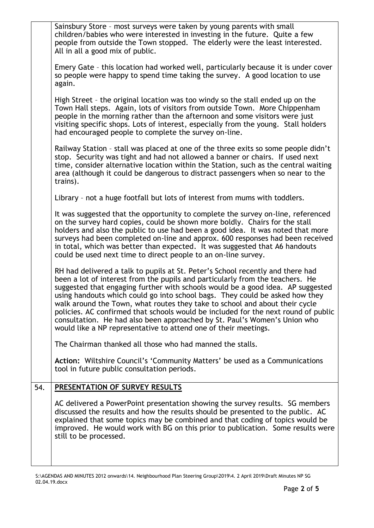|     | Sainsbury Store - most surveys were taken by young parents with small<br>children/babies who were interested in investing in the future. Quite a few<br>people from outside the Town stopped. The elderly were the least interested.<br>All in all a good mix of public.                                                                                                                                                                                                                                                                                                                                                                                |
|-----|---------------------------------------------------------------------------------------------------------------------------------------------------------------------------------------------------------------------------------------------------------------------------------------------------------------------------------------------------------------------------------------------------------------------------------------------------------------------------------------------------------------------------------------------------------------------------------------------------------------------------------------------------------|
|     | Emery Gate - this location had worked well, particularly because it is under cover<br>so people were happy to spend time taking the survey. A good location to use<br>again.                                                                                                                                                                                                                                                                                                                                                                                                                                                                            |
|     | High Street - the original location was too windy so the stall ended up on the<br>Town Hall steps. Again, lots of visitors from outside Town. More Chippenham<br>people in the morning rather than the afternoon and some visitors were just<br>visiting specific shops. Lots of interest, especially from the young. Stall holders<br>had encouraged people to complete the survey on-line.                                                                                                                                                                                                                                                            |
|     | Railway Station - stall was placed at one of the three exits so some people didn't<br>stop. Security was tight and had not allowed a banner or chairs. If used next<br>time, consider alternative location within the Station, such as the central waiting<br>area (although it could be dangerous to distract passengers when so near to the<br>trains).                                                                                                                                                                                                                                                                                               |
|     | Library - not a huge footfall but lots of interest from mums with toddlers.                                                                                                                                                                                                                                                                                                                                                                                                                                                                                                                                                                             |
|     | It was suggested that the opportunity to complete the survey on-line, referenced<br>on the survey hard copies, could be shown more boldly. Chairs for the stall<br>holders and also the public to use had been a good idea. It was noted that more<br>surveys had been completed on-line and approx. 600 responses had been received<br>in total, which was better than expected. It was suggested that A6 handouts<br>could be used next time to direct people to an on-line survey.                                                                                                                                                                   |
|     | RH had delivered a talk to pupils at St. Peter's School recently and there had<br>been a lot of interest from the pupils and particularly from the teachers. He<br>suggested that engaging further with schools would be a good idea. AP suggested<br>using handouts which could go into school bags. They could be asked how they<br>walk around the Town, what routes they take to school and about their cycle<br>policies. AC confirmed that schools would be included for the next round of public<br>consultation. He had also been approached by St. Paul's Women's Union who<br>would like a NP representative to attend one of their meetings. |
|     | The Chairman thanked all those who had manned the stalls.                                                                                                                                                                                                                                                                                                                                                                                                                                                                                                                                                                                               |
|     | Action: Wiltshire Council's 'Community Matters' be used as a Communications<br>tool in future public consultation periods.                                                                                                                                                                                                                                                                                                                                                                                                                                                                                                                              |
| 54. | <b>PRESENTATION OF SURVEY RESULTS</b>                                                                                                                                                                                                                                                                                                                                                                                                                                                                                                                                                                                                                   |
|     | AC delivered a PowerPoint presentation showing the survey results. SG members<br>discussed the results and how the results should be presented to the public. AC<br>explained that some topics may be combined and that coding of topics would be<br>improved. He would work with BG on this prior to publication. Some results were<br>still to be processed.                                                                                                                                                                                                                                                                                          |
|     |                                                                                                                                                                                                                                                                                                                                                                                                                                                                                                                                                                                                                                                         |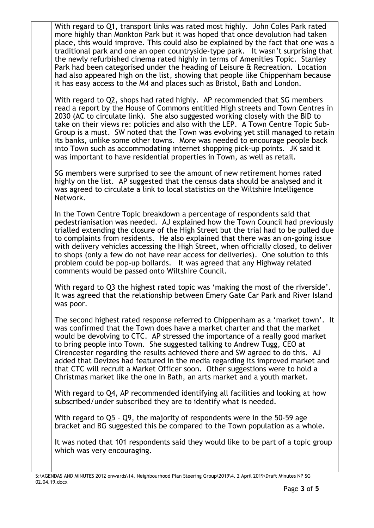| With regard to Q1, transport links was rated most highly. John Coles Park rated                                                                              |
|--------------------------------------------------------------------------------------------------------------------------------------------------------------|
| more highly than Monkton Park but it was hoped that once devolution had taken                                                                                |
| place, this would improve. This could also be explained by the fact that one was a                                                                           |
| traditional park and one an open countryside-type park. It wasn't surprising that                                                                            |
| the newly refurbished cinema rated highly in terms of Amenities Topic. Stanley                                                                               |
| Park had been categorised under the heading of Leisure & Recreation. Location                                                                                |
| had also appeared high on the list, showing that people like Chippenham because<br>it has easy access to the M4 and places such as Bristol, Bath and London. |
|                                                                                                                                                              |

With regard to Q2, shops had rated highly. AP recommended that SG members read a report by the House of Commons entitled High streets and Town Centres in 2030 (AC to circulate link). She also suggested working closely with the BID to take on their views re: policies and also with the LEP. A Town Centre Topic Sub-Group is a must. SW noted that the Town was evolving yet still managed to retain its banks, unlike some other towns. More was needed to encourage people back into Town such as accommodating internet shopping pick-up points. JK said it was important to have residential properties in Town, as well as retail.

SG members were surprised to see the amount of new retirement homes rated highly on the list. AP suggested that the census data should be analysed and it was agreed to circulate a link to local statistics on the Wiltshire Intelligence Network.

In the Town Centre Topic breakdown a percentage of respondents said that pedestrianisation was needed. AJ explained how the Town Council had previously trialled extending the closure of the High Street but the trial had to be pulled due to complaints from residents. He also explained that there was an on-going issue with delivery vehicles accessing the High Street, when officially closed, to deliver to shops (only a few do not have rear access for deliveries). One solution to this problem could be pop-up bollards. It was agreed that any Highway related comments would be passed onto Wiltshire Council.

With regard to Q3 the highest rated topic was 'making the most of the riverside'. It was agreed that the relationship between Emery Gate Car Park and River Island was poor.

The second highest rated response referred to Chippenham as a 'market town'. It was confirmed that the Town does have a market charter and that the market would be devolving to CTC. AP stressed the importance of a really good market to bring people into Town. She suggested talking to Andrew Tugg, CEO at Cirencester regarding the results achieved there and SW agreed to do this. AJ added that Devizes had featured in the media regarding its improved market and that CTC will recruit a Market Officer soon. Other suggestions were to hold a Christmas market like the one in Bath, an arts market and a youth market.

With regard to Q4, AP recommended identifying all facilities and looking at how subscribed/under subscribed they are to identify what is needed.

With regard to Q5 – Q9, the majority of respondents were in the 50-59 age bracket and BG suggested this be compared to the Town population as a whole.

It was noted that 101 respondents said they would like to be part of a topic group which was very encouraging.

S:\AGENDAS AND MINUTES 2012 onwards\14. Neighbourhood Plan Steering Group\2019\4. 2 April 2019\Draft Minutes NP SG 02.04.19.docx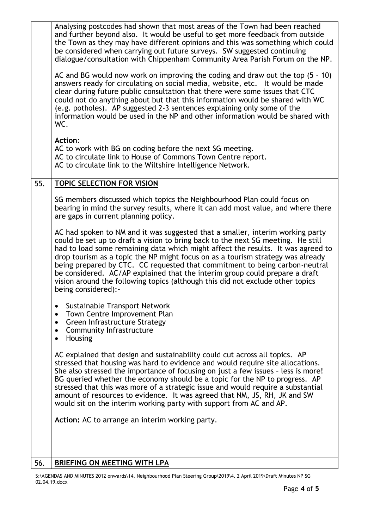|     | Analysing postcodes had shown that most areas of the Town had been reached<br>and further beyond also. It would be useful to get more feedback from outside<br>the Town as they may have different opinions and this was something which could<br>be considered when carrying out future surveys. SW suggested continuing<br>dialogue/consultation with Chippenham Community Area Parish Forum on the NP.<br>AC and BG would now work on improving the coding and draw out the top $(5 - 10)$<br>answers ready for circulating on social media, website, etc. It would be made<br>clear during future public consultation that there were some issues that CTC<br>could not do anything about but that this information would be shared with WC<br>(e.g. potholes). AP suggested 2-3 sentences explaining only some of the<br>information would be used in the NP and other information would be shared with<br>WC.<br><b>Action:</b><br>AC to work with BG on coding before the next SG meeting.<br>AC to circulate link to House of Commons Town Centre report.<br>AC to circulate link to the Wiltshire Intelligence Network. |
|-----|----------------------------------------------------------------------------------------------------------------------------------------------------------------------------------------------------------------------------------------------------------------------------------------------------------------------------------------------------------------------------------------------------------------------------------------------------------------------------------------------------------------------------------------------------------------------------------------------------------------------------------------------------------------------------------------------------------------------------------------------------------------------------------------------------------------------------------------------------------------------------------------------------------------------------------------------------------------------------------------------------------------------------------------------------------------------------------------------------------------------------------|
| 55. | <b>TOPIC SELECTION FOR VISION</b>                                                                                                                                                                                                                                                                                                                                                                                                                                                                                                                                                                                                                                                                                                                                                                                                                                                                                                                                                                                                                                                                                                |
|     | SG members discussed which topics the Neighbourhood Plan could focus on<br>bearing in mind the survey results, where it can add most value, and where there<br>are gaps in current planning policy.                                                                                                                                                                                                                                                                                                                                                                                                                                                                                                                                                                                                                                                                                                                                                                                                                                                                                                                              |
|     | AC had spoken to NM and it was suggested that a smaller, interim working party<br>could be set up to draft a vision to bring back to the next SG meeting. He still<br>had to load some remaining data which might affect the results. It was agreed to<br>drop tourism as a topic the NP might focus on as a tourism strategy was already<br>being prepared by CTC. CC requested that commitment to being carbon-neutral<br>be considered. AC/AP explained that the interim group could prepare a draft<br>vision around the following topics (although this did not exclude other topics<br>being considered):-                                                                                                                                                                                                                                                                                                                                                                                                                                                                                                                 |
|     | Sustainable Transport Network<br>٠<br>Town Centre Improvement Plan<br>$\bullet$<br>Green Infrastructure Strategy<br>$\bullet$<br><b>Community Infrastructure</b><br>$\bullet$<br>Housing<br>$\bullet$                                                                                                                                                                                                                                                                                                                                                                                                                                                                                                                                                                                                                                                                                                                                                                                                                                                                                                                            |
|     | AC explained that design and sustainability could cut across all topics. AP<br>stressed that housing was hard to evidence and would require site allocations.<br>She also stressed the importance of focusing on just a few issues - less is more!<br>BG queried whether the economy should be a topic for the NP to progress. AP<br>stressed that this was more of a strategic issue and would require a substantial<br>amount of resources to evidence. It was agreed that NM, JS, RH, JK and SW<br>would sit on the interim working party with support from AC and AP.                                                                                                                                                                                                                                                                                                                                                                                                                                                                                                                                                        |
|     | Action: AC to arrange an interim working party.                                                                                                                                                                                                                                                                                                                                                                                                                                                                                                                                                                                                                                                                                                                                                                                                                                                                                                                                                                                                                                                                                  |
| 56. | BRIEFING ON MEETING WITH LPA                                                                                                                                                                                                                                                                                                                                                                                                                                                                                                                                                                                                                                                                                                                                                                                                                                                                                                                                                                                                                                                                                                     |
|     |                                                                                                                                                                                                                                                                                                                                                                                                                                                                                                                                                                                                                                                                                                                                                                                                                                                                                                                                                                                                                                                                                                                                  |